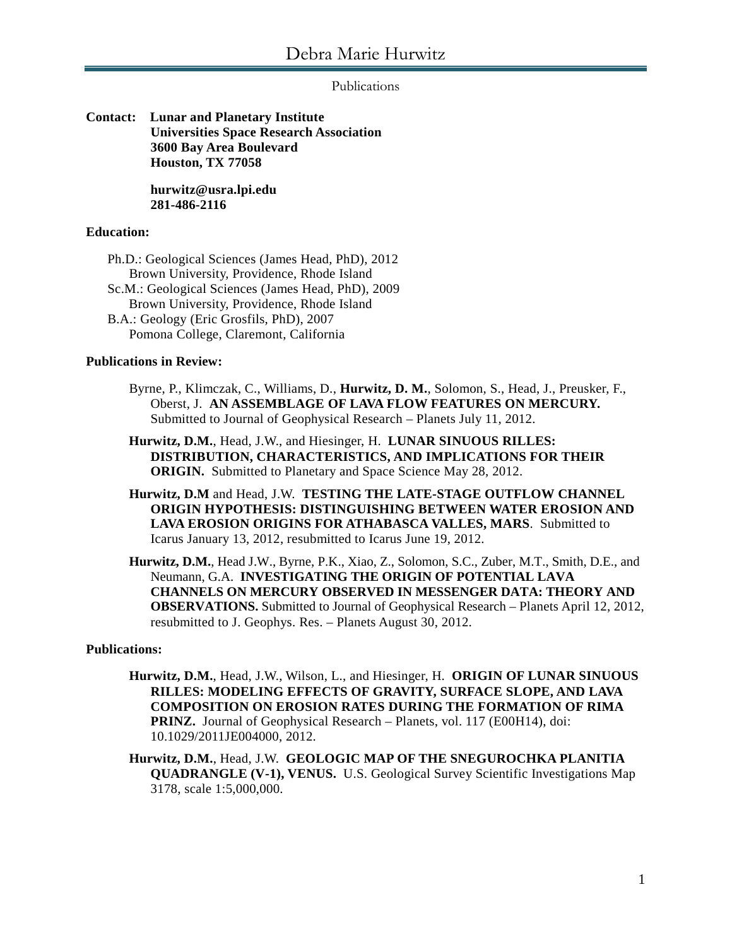## Publications

**Contact: Lunar and Planetary Institute Universities Space Research Association 3600 Bay Area Boulevard Houston, TX 77058**

> **hurwitz@usra.lpi.edu 281-486-2116**

# **Education:**

Ph.D.: Geological Sciences (James Head, PhD), 2012 Brown University, Providence, Rhode Island Sc.M.: Geological Sciences (James Head, PhD), 2009 Brown University, Providence, Rhode Island B.A.: Geology (Eric Grosfils, PhD), 2007 Pomona College, Claremont, California

## **Publications in Review:**

- Byrne, P., Klimczak, C., Williams, D., **Hurwitz, D. M.**, Solomon, S., Head, J., Preusker, F., Oberst, J. **AN ASSEMBLAGE OF LAVA FLOW FEATURES ON MERCURY.** Submitted to Journal of Geophysical Research – Planets July 11, 2012.
- **Hurwitz, D.M.**, Head, J.W., and Hiesinger, H. **LUNAR SINUOUS RILLES: DISTRIBUTION, CHARACTERISTICS, AND IMPLICATIONS FOR THEIR ORIGIN.** Submitted to Planetary and Space Science May 28, 2012.
- **Hurwitz, D.M** and Head, J.W. **TESTING THE LATE-STAGE OUTFLOW CHANNEL ORIGIN HYPOTHESIS: DISTINGUISHING BETWEEN WATER EROSION AND LAVA EROSION ORIGINS FOR ATHABASCA VALLES, MARS**. Submitted to Icarus January 13, 2012, resubmitted to Icarus June 19, 2012.
- **Hurwitz, D.M.**, Head J.W., Byrne, P.K., Xiao, Z., Solomon, S.C., Zuber, M.T., Smith, D.E., and Neumann, G.A. **INVESTIGATING THE ORIGIN OF POTENTIAL LAVA CHANNELS ON MERCURY OBSERVED IN MESSENGER DATA: THEORY AND OBSERVATIONS.** Submitted to Journal of Geophysical Research – Planets April 12, 2012, resubmitted to J. Geophys. Res. – Planets August 30, 2012.

### **Publications:**

- **Hurwitz, D.M.**, Head, J.W., Wilson, L., and Hiesinger, H. **ORIGIN OF LUNAR SINUOUS RILLES: MODELING EFFECTS OF GRAVITY, SURFACE SLOPE, AND LAVA COMPOSITION ON EROSION RATES DURING THE FORMATION OF RIMA PRINZ.** Journal of Geophysical Research – Planets, vol. 117 (E00H14), doi: 10.1029/2011JE004000, 2012.
- **Hurwitz, D.M.**, Head, J.W. **GEOLOGIC MAP OF THE SNEGUROCHKA PLANITIA QUADRANGLE (V-1), VENUS.** U.S. Geological Survey Scientific Investigations Map 3178, scale 1:5,000,000.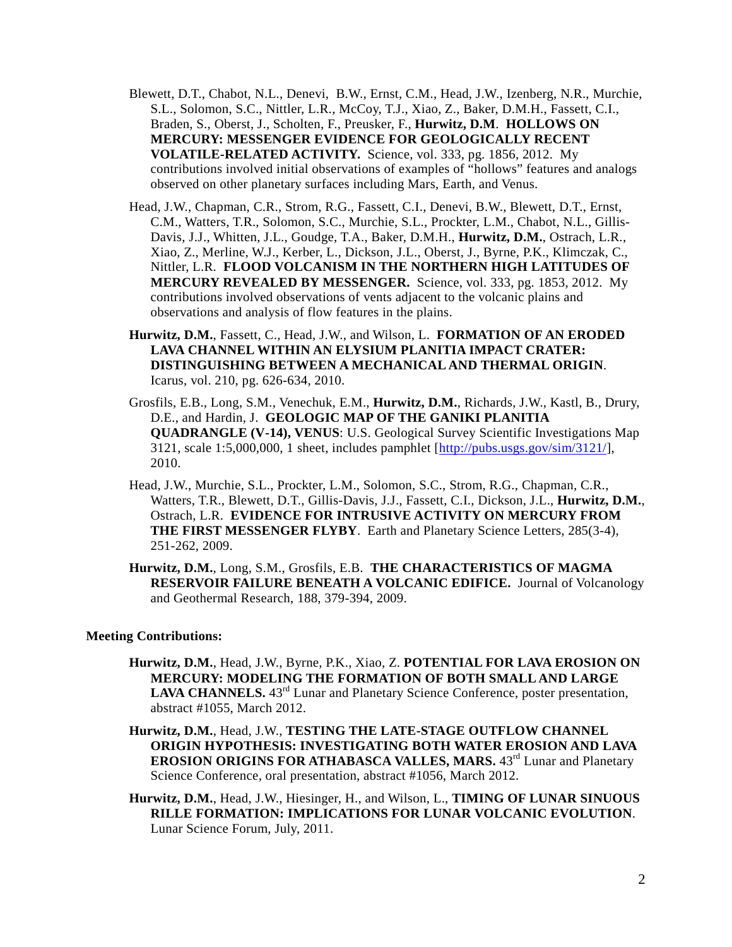- Blewett, D.T., Chabot, N.L., Denevi, B.W., Ernst, C.M., Head, J.W., Izenberg, N.R., Murchie, S.L., Solomon, S.C., Nittler, L.R., McCoy, T.J., Xiao, Z., Baker, D.M.H., Fassett, C.I., Braden, S., Oberst, J., Scholten, F., Preusker, F., **Hurwitz, D.M**. **HOLLOWS ON MERCURY: MESSENGER EVIDENCE FOR GEOLOGICALLY RECENT VOLATILE-RELATED ACTIVITY.** Science, vol. 333, pg. 1856, 2012. My contributions involved initial observations of examples of "hollows" features and analogs observed on other planetary surfaces including Mars, Earth, and Venus.
- Head, J.W., Chapman, C.R., Strom, R.G., Fassett, C.I., Denevi, B.W., Blewett, D.T., Ernst, C.M., Watters, T.R., Solomon, S.C., Murchie, S.L., Prockter, L.M., Chabot, N.L., Gillis-Davis, J.J., Whitten, J.L., Goudge, T.A., Baker, D.M.H., **Hurwitz, D.M.**, Ostrach, L.R., Xiao, Z., Merline, W.J., Kerber, L., Dickson, J.L., Oberst, J., Byrne, P.K., Klimczak, C., Nittler, L.R. **FLOOD VOLCANISM IN THE NORTHERN HIGH LATITUDES OF MERCURY REVEALED BY MESSENGER.** Science, vol. 333, pg. 1853, 2012. My contributions involved observations of vents adjacent to the volcanic plains and observations and analysis of flow features in the plains.
- **Hurwitz, D.M.**, Fassett, C., Head, J.W., and Wilson, L. **FORMATION OF AN ERODED LAVA CHANNEL WITHIN AN ELYSIUM PLANITIA IMPACT CRATER: DISTINGUISHING BETWEEN A MECHANICAL AND THERMAL ORIGIN**. Icarus, vol. 210, pg. 626-634, 2010.
- Grosfils, E.B., Long, S.M., Venechuk, E.M., **Hurwitz, D.M.**, Richards, J.W., Kastl, B., Drury, D.E., and Hardin, J. **GEOLOGIC MAP OF THE GANIKI PLANITIA QUADRANGLE (V-14), VENUS**: U.S. Geological Survey Scientific Investigations Map 3121, scale 1:5,000,000, 1 sheet, includes pamphlet [\[http://pubs.usgs.gov/sim/3121/\]](http://pubs.usgs.gov/sim/3121/), 2010.
- Head, J.W., Murchie, S.L., Prockter, L.M., Solomon, S.C., Strom, R.G., Chapman, C.R., Watters, T.R., Blewett, D.T., Gillis-Davis, J.J., Fassett, C.I., Dickson, J.L., **Hurwitz, D.M.**, Ostrach, L.R. **EVIDENCE FOR INTRUSIVE ACTIVITY ON MERCURY FROM THE FIRST MESSENGER FLYBY**. Earth and Planetary Science Letters, 285(3-4), 251-262, 2009.
- **Hurwitz, D.M.**, Long, S.M., Grosfils, E.B. **THE CHARACTERISTICS OF MAGMA RESERVOIR FAILURE BENEATH A VOLCANIC EDIFICE.** Journal of Volcanology and Geothermal Research, 188, 379-394, 2009.

#### **Meeting Contributions:**

- **Hurwitz, D.M.**, Head, J.W., Byrne, P.K., Xiao, Z. **POTENTIAL FOR LAVA EROSION ON MERCURY: MODELING THE FORMATION OF BOTH SMALL AND LARGE**  LAVA CHANNELS. 43<sup>rd</sup> Lunar and Planetary Science Conference, poster presentation, abstract #1055, March 2012.
- **Hurwitz, D.M.**, Head, J.W., **TESTING THE LATE-STAGE OUTFLOW CHANNEL ORIGIN HYPOTHESIS: INVESTIGATING BOTH WATER EROSION AND LAVA EROSION ORIGINS FOR ATHABASCA VALLES, MARS.** 43<sup>rd</sup> Lunar and Planetary Science Conference, oral presentation, abstract #1056, March 2012.
- **Hurwitz, D.M.**, Head, J.W., Hiesinger, H., and Wilson, L., **TIMING OF LUNAR SINUOUS RILLE FORMATION: IMPLICATIONS FOR LUNAR VOLCANIC EVOLUTION**. Lunar Science Forum, July, 2011.